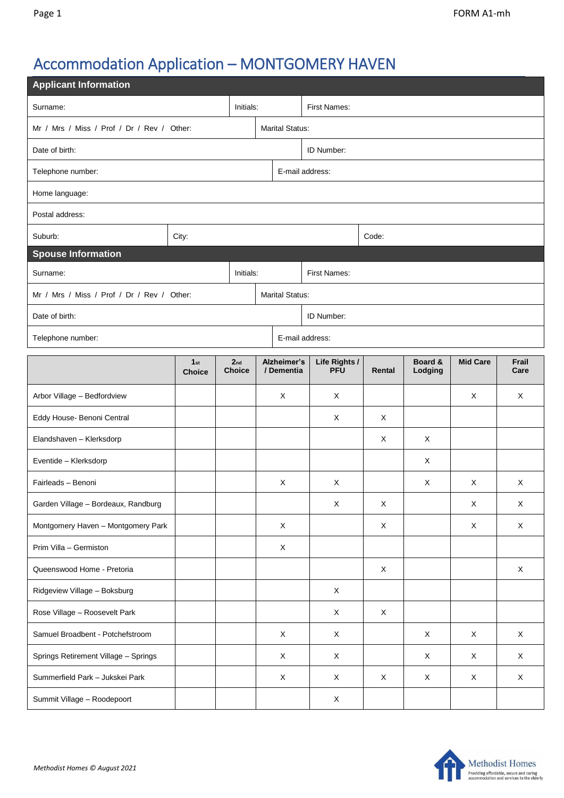## Accommodation Application – MONTGOMERY HAVEN

| <b>Applicant Information</b>               |                                  |                                  |  |                           |                             |             |                    |                           |               |  |  |
|--------------------------------------------|----------------------------------|----------------------------------|--|---------------------------|-----------------------------|-------------|--------------------|---------------------------|---------------|--|--|
| Surname:<br>Initials:                      |                                  |                                  |  | First Names:              |                             |             |                    |                           |               |  |  |
| Mr / Mrs / Miss / Prof / Dr / Rev / Other: |                                  |                                  |  | <b>Marital Status:</b>    |                             |             |                    |                           |               |  |  |
| Date of birth:                             |                                  |                                  |  | ID Number:                |                             |             |                    |                           |               |  |  |
| Telephone number:                          |                                  | E-mail address:                  |  |                           |                             |             |                    |                           |               |  |  |
| Home language:                             |                                  |                                  |  |                           |                             |             |                    |                           |               |  |  |
| Postal address:                            |                                  |                                  |  |                           |                             |             |                    |                           |               |  |  |
| Suburb:                                    | City:                            |                                  |  |                           |                             | Code:       |                    |                           |               |  |  |
| <b>Spouse Information</b>                  |                                  |                                  |  |                           |                             |             |                    |                           |               |  |  |
| Surname:<br>Initials:                      |                                  |                                  |  | First Names:              |                             |             |                    |                           |               |  |  |
| Mr / Mrs / Miss / Prof / Dr / Rev / Other: |                                  |                                  |  | <b>Marital Status:</b>    |                             |             |                    |                           |               |  |  |
| Date of birth:                             |                                  |                                  |  | ID Number:                |                             |             |                    |                           |               |  |  |
| E-mail address:<br>Telephone number:       |                                  |                                  |  |                           |                             |             |                    |                           |               |  |  |
|                                            | 1 <sub>st</sub><br><b>Choice</b> | 2 <sub>nd</sub><br><b>Choice</b> |  | Alzheimer's<br>/ Dementia | Life Rights /<br><b>PFU</b> | Rental      | Board &<br>Lodging | <b>Mid Care</b>           | Frail<br>Care |  |  |
| Arbor Village - Bedfordview                |                                  |                                  |  | X                         | X                           |             |                    | X                         | X             |  |  |
| Eddy House- Benoni Central                 |                                  |                                  |  |                           | X                           | X           |                    |                           |               |  |  |
| Elandshaven - Klerksdorp                   |                                  |                                  |  |                           |                             | X           | X                  |                           |               |  |  |
| Eventide - Klerksdorp                      |                                  |                                  |  |                           |                             |             | X                  |                           |               |  |  |
| Fairleads - Benoni                         |                                  |                                  |  | X                         | X                           |             | X                  | X                         | X             |  |  |
| Garden Village - Bordeaux, Randburg        |                                  |                                  |  |                           | $\mathsf X$                 | $\mathsf X$ |                    | Χ                         | $\mathsf X$   |  |  |
| Montgomery Haven - Montgomery Park         |                                  |                                  |  | X                         |                             | $\mathsf X$ |                    | X                         | $\mathsf X$   |  |  |
| Prim Villa - Germiston                     |                                  |                                  |  | X                         |                             |             |                    |                           |               |  |  |
| Queenswood Home - Pretoria                 |                                  |                                  |  |                           |                             | X           |                    |                           | $\mathsf X$   |  |  |
| Ridgeview Village - Boksburg               |                                  |                                  |  |                           | $\mathsf X$                 |             |                    |                           |               |  |  |
| Rose Village - Roosevelt Park              |                                  |                                  |  |                           | X                           | $\mathsf X$ |                    |                           |               |  |  |
| Samuel Broadbent - Potchefstroom           |                                  |                                  |  | $\times$                  | $\times$                    |             | X                  | $\boldsymbol{\mathsf{X}}$ | X             |  |  |
| Springs Retirement Village - Springs       |                                  |                                  |  | X                         | X                           |             | X                  | X                         | X             |  |  |
| Summerfield Park - Jukskei Park            |                                  |                                  |  | X                         | X                           | X           | X                  | X                         | $\mathsf X$   |  |  |
| Summit Village - Roodepoort                |                                  |                                  |  |                           | X                           |             |                    |                           |               |  |  |

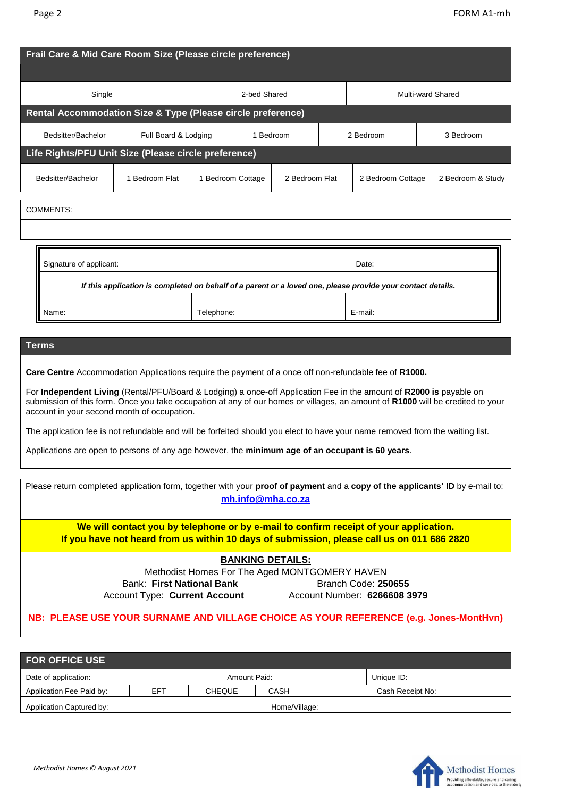| Frail Care & Mid Care Room Size (Please circle preference)                                                                                                                                                                                            |                      |  |                                     |  |                          |                   |         |                   |  |  |
|-------------------------------------------------------------------------------------------------------------------------------------------------------------------------------------------------------------------------------------------------------|----------------------|--|-------------------------------------|--|--------------------------|-------------------|---------|-------------------|--|--|
| Single                                                                                                                                                                                                                                                |                      |  | 2-bed Shared                        |  | <b>Multi-ward Shared</b> |                   |         |                   |  |  |
| Rental Accommodation Size & Type (Please circle preference)                                                                                                                                                                                           |                      |  |                                     |  |                          |                   |         |                   |  |  |
| Bedsitter/Bachelor                                                                                                                                                                                                                                    | Full Board & Lodging |  | 1 Bedroom                           |  |                          | 2 Bedroom         |         | 3 Bedroom         |  |  |
| Life Rights/PFU Unit Size (Please circle preference)                                                                                                                                                                                                  |                      |  |                                     |  |                          |                   |         |                   |  |  |
| Bedsitter/Bachelor                                                                                                                                                                                                                                    | 1 Bedroom Flat       |  | 1 Bedroom Cottage<br>2 Bedroom Flat |  |                          | 2 Bedroom Cottage |         | 2 Bedroom & Study |  |  |
| <b>COMMENTS:</b><br>Signature of applicant:<br>Date:                                                                                                                                                                                                  |                      |  |                                     |  |                          |                   |         |                   |  |  |
| If this application is completed on behalf of a parent or a loved one, please provide your contact details.                                                                                                                                           |                      |  |                                     |  |                          |                   |         |                   |  |  |
| Name:                                                                                                                                                                                                                                                 | Telephone:           |  |                                     |  |                          |                   | E-mail: |                   |  |  |
| <b>Terms</b><br>Care Centre Accommodation Applications require the payment of a once off non-refundable fee of R1000.                                                                                                                                 |                      |  |                                     |  |                          |                   |         |                   |  |  |
| For Independent Living (Rental/PFU/Board & Lodging) a once-off Application Fee in the amount of R2000 is payable on<br>submission of this form. Once you take occupation at any of our homes or villages, an amount of R1000 will be credited to your |                      |  |                                     |  |                          |                   |         |                   |  |  |

submission of this form. Once you take occupation at any of our homes or villages, an amount of **R1000** will be credited to your account in your second month of occupation.

The application fee is not refundable and will be forfeited should you elect to have your name removed from the waiting list.

Applications are open to persons of any age however, the **minimum age of an occupant is 60 years**.

| Please return completed application form, together with your proof of payment and a copy of the applicants' ID by e-mail to:<br>mh.info@mha.co.za                                   |                              |  |  |  |  |  |  |
|-------------------------------------------------------------------------------------------------------------------------------------------------------------------------------------|------------------------------|--|--|--|--|--|--|
| We will contact you by telephone or by e-mail to confirm receipt of your application.<br>If you have not heard from us within 10 days of submission, please call us on 011 686 2820 |                              |  |  |  |  |  |  |
| <b>BANKING DETAILS:</b>                                                                                                                                                             |                              |  |  |  |  |  |  |
| Methodist Homes For The Aged MONTGOMERY HAVEN                                                                                                                                       |                              |  |  |  |  |  |  |
| Bank: First National Bank                                                                                                                                                           | Branch Code: 250655          |  |  |  |  |  |  |
| <b>Account Type: Current Account</b>                                                                                                                                                | Account Number: 6266608 3979 |  |  |  |  |  |  |
| NB: PLEASE USE YOUR SURNAME AND VILLAGE CHOICE AS YOUR REFERENCE (e.g. Jones-MontHvn)                                                                                               |                              |  |  |  |  |  |  |

| <b>FOR OFFICE USE</b>    |     |               |              |               |                  |  |  |  |
|--------------------------|-----|---------------|--------------|---------------|------------------|--|--|--|
| Date of application:     |     |               | Amount Paid: |               | Unique ID:       |  |  |  |
| Application Fee Paid by: | EFT | <b>CHEQUE</b> |              | CASH          | Cash Receipt No: |  |  |  |
| Application Captured by: |     |               |              | Home/Village: |                  |  |  |  |

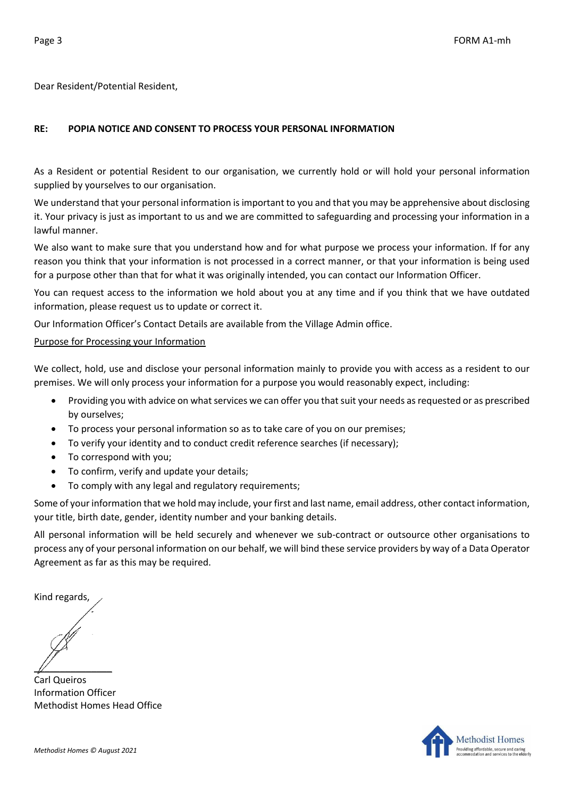Dear Resident/Potential Resident,

## **RE: POPIA NOTICE AND CONSENT TO PROCESS YOUR PERSONAL INFORMATION**

As a Resident or potential Resident to our organisation, we currently hold or will hold your personal information supplied by yourselves to our organisation.

We understand that your personal information is important to you and that you may be apprehensive about disclosing it. Your privacy is just as important to us and we are committed to safeguarding and processing your information in a lawful manner.

We also want to make sure that you understand how and for what purpose we process your information. If for any reason you think that your information is not processed in a correct manner, or that your information is being used for a purpose other than that for what it was originally intended, you can contact our Information Officer.

You can request access to the information we hold about you at any time and if you think that we have outdated information, please request us to update or correct it.

Our Information Officer's Contact Details are available from the Village Admin office.

## Purpose for Processing your Information

We collect, hold, use and disclose your personal information mainly to provide you with access as a resident to our premises. We will only process your information for a purpose you would reasonably expect, including:

- Providing you with advice on what services we can offer you that suit your needs as requested or as prescribed by ourselves;
- To process your personal information so as to take care of you on our premises;
- To verify your identity and to conduct credit reference searches (if necessary);
- To correspond with you;
- To confirm, verify and update your details;
- To comply with any legal and regulatory requirements;

Some of your information that we hold may include, your first and last name, email address, other contact information, your title, birth date, gender, identity number and your banking details.

All personal information will be held securely and whenever we sub-contract or outsource other organisations to process any of your personal information on our behalf, we will bind these service providers by way of a Data Operator Agreement as far as this may be required.

Kind regards,

 $\mathbb{Z}$ 

Carl Queiros Information Officer Methodist Homes Head Office